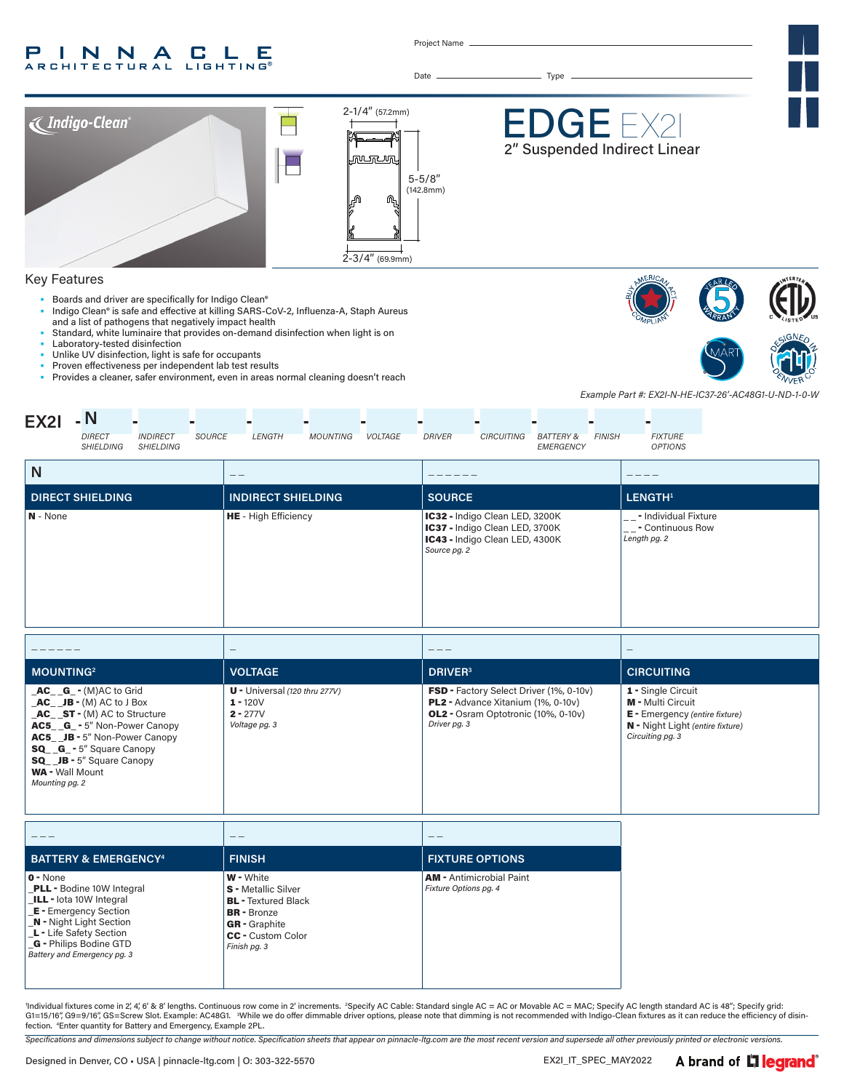#### P INNA LE **C RCHITECTURAL LIGHTING®**

Project Name

Date Type



- Laboratory-tested disinfection
- Unlike UV disinfection, light is safe for occupants
- Proven effectiveness per independent lab test results<br>• Provides a cleaner safer environment, even in areas n
- Provides a cleaner, safer environment, even in areas normal cleaning doesn't reach





*Example Part #: EX2I-N-HE-IC37-26'-AC48G1-U-ND-1-0-W*

| <b>EX21</b>  | - N                               |                              |               | -             | ▬               |                |               |                   |                                   |               |                                  |
|--------------|-----------------------------------|------------------------------|---------------|---------------|-----------------|----------------|---------------|-------------------|-----------------------------------|---------------|----------------------------------|
|              | <b>DIRECT</b><br><b>SHIELDING</b> | <b>INDIRECT</b><br>SHIELDING | <b>SOURCE</b> | <b>LENGTH</b> | <b>MOUNTING</b> | <b>VOLTAGE</b> | <b>DRIVER</b> | <b>CIRCUITING</b> | <b>BATTERY &amp;</b><br>EMERGENCY | <b>FINISH</b> | <b>FIXTURE</b><br><b>OPTIONS</b> |
| $\mathbf{N}$ |                                   |                              |               |               |                 |                |               |                   |                                   |               |                                  |

| N                       | $- -$                       |                                                                                                                    |                                                                                  |
|-------------------------|-----------------------------|--------------------------------------------------------------------------------------------------------------------|----------------------------------------------------------------------------------|
| <b>DIRECT SHIELDING</b> | <b>INDIRECT SHIELDING</b>   | <b>SOURCE</b>                                                                                                      | LENGTH <sup>1</sup>                                                              |
| N - None                | <b>HE</b> - High Efficiency | IC32 - Indigo Clean LED, 3200K<br>IC37 - Indigo Clean LED, 3700K<br>IC43 - Indigo Clean LED, 4300K<br>Source pg. 2 | $ _{--}$ - Individual Fixture<br><sup>1</sup> __- Continuous Row<br>Length pg. 2 |

|                                                                                                                                                                                                                                                                                        | $\overline{\phantom{a}}$                                                     | ---                                                                                                                                                       |                                                                                                                                                 |
|----------------------------------------------------------------------------------------------------------------------------------------------------------------------------------------------------------------------------------------------------------------------------------------|------------------------------------------------------------------------------|-----------------------------------------------------------------------------------------------------------------------------------------------------------|-------------------------------------------------------------------------------------------------------------------------------------------------|
| <b>MOUNTING</b> <sup>2</sup>                                                                                                                                                                                                                                                           | <b>VOLTAGE</b>                                                               | <b>DRIVER</b> <sup>3</sup>                                                                                                                                | <b>CIRCUITING</b>                                                                                                                               |
| $AC_G - (M)AC$ to Grid<br>$AC$ $JB - (M) AC$ to J Box<br>$AC_{S}T - (M) AC$ to Structure<br><b>AC5 G</b> - 5" Non-Power Canopy<br><b>AC5</b> JB - 5" Non-Power Canopy<br><b>SQ G</b> - 5" Square Canopy<br><b>SQ</b> JB - 5" Square Canopy<br><b>WA</b> - Wall Mount<br>Mounting pg. 2 | $U$ - Universal (120 thru 277V)<br>$1 - 120V$<br>$2 - 277V$<br>Voltage pg. 3 | <b>FSD</b> - Factory Select Driver (1%, 0-10v)<br><b>PL2</b> - Advance Xitanium (1%, 0-10y)<br><b>OL2</b> - Osram Optotronic (10%, 0-10v)<br>Driver pg. 3 | 1 - Single Circuit<br><b>M</b> - Multi Circuit<br><b>E</b> - Emergency (entire fixture)<br>N - Night Light (entire fixture)<br>Circuiting pg. 3 |

| <b>BATTERY &amp; EMERGENCY<sup>4</sup></b>                                                                                                                                                                                         | <b>FINISH</b>                                                                                                                                                          | <b>FIXTURE OPTIONS</b>                                   |
|------------------------------------------------------------------------------------------------------------------------------------------------------------------------------------------------------------------------------------|------------------------------------------------------------------------------------------------------------------------------------------------------------------------|----------------------------------------------------------|
| $ 0 - \text{None} $<br><b>PLL</b> - Bodine 10W Integral<br>LILL - lota 10W Integral<br><b>E</b> - Emergency Section<br>N - Night Light Section<br>L - Life Safety Section<br>G - Philips Bodine GTD<br>Battery and Emergency pg. 3 | <b>W</b> - White<br><b>S</b> - Metallic Silver<br><b>BL</b> - Textured Black<br><b>BR</b> - Bronze<br><b>GR</b> - Graphite<br><b>CC</b> - Custom Color<br>Finish pg. 3 | <b>AM</b> - Antimicrobial Paint<br>Fixture Options pg. 4 |

'Individual fixtures come in 2, 4, 6′ & 8′ lengths. Continuous row come in 2′ increments. "Specify AC Cable: Standard single AC = AC or Movable AC = MAC; Specify AC length standard AC is 48″; Specify grid:<br>G1=15/16″, G9= fection. 4 Enter quantity for Battery and Emergency, Example 2PL.

*Specifications and dimensions subject to change without notice. Specification sheets that appear on pinnacle-ltg.com are the most recent version and supersede all other previously printed or electronic versions.*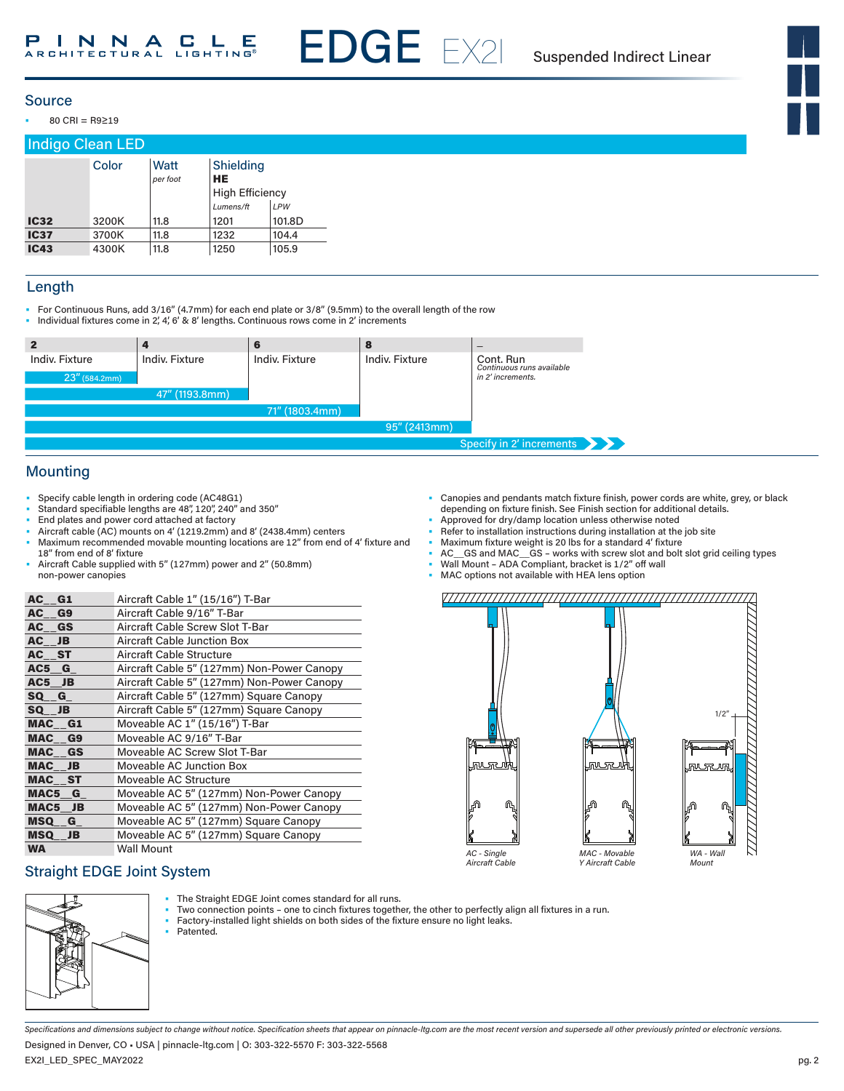

• 80 CRI = R9≥19

## Indigo Clean LED

|             | Color | Watt<br>per foot | Shielding<br>HE |        |
|-------------|-------|------------------|-----------------|--------|
|             |       |                  | High Efficiency |        |
|             |       |                  | Lumens/ft       | LPW    |
| <b>IC32</b> | 3200K | 11.8             | 1201            | 101.8D |
| <b>IC37</b> | 3700K | 11.8             | 1232            | 104.4  |
| <b>IC43</b> | 4300K | 11.8             | 1250            | 105.9  |

#### Length

- For Continuous Runs, add 3/16" (4.7mm) for each end plate or 3/8" (9.5mm) to the overall length of the row
- Individual fixtures come in 2', 4', 6' & 8' lengths. Continuous rows come in 2' increments

| 2                |                | ю              | -8             | $\qquad \qquad \blacksquare$           |
|------------------|----------------|----------------|----------------|----------------------------------------|
| Indiv. Fixture   | Indiv. Fixture | Indiv. Fixture | Indiv. Fixture | Cont. Run<br>Continuous runs available |
| $23''$ (584.2mm) |                |                |                | in 2' increments.                      |
|                  | 47" (1193.8mm) |                |                |                                        |
|                  |                | 71" (1803.4mm) |                |                                        |
|                  |                |                | 95" (2413mm)   |                                        |
|                  |                |                |                | Specify in 2' increments               |

EDGE EX2I

#### Mounting

- Specify cable length in ordering code (AC48G1)
- Standard specifiable lengths are 48", 120", 240" and 350"
- End plates and power cord attached at factory
- Aircraft cable (AC) mounts on 4' (1219.2mm) and 8' (2438.4mm) centers
- Maximum recommended movable mounting locations are 12" from end of 4' fixture and
- 18" from end of 8' fixture • Aircraft Cable supplied with 5" (127mm) power and 2" (50.8mm) non-power canopies

| AC G1     | Aircraft Cable 1" (15/16") T-Bar           |
|-----------|--------------------------------------------|
| AC G9     | Aircraft Cable 9/16" T-Bar                 |
| AC GS     | Aircraft Cable Screw Slot T-Bar            |
| AC JB     | Aircraft Cable Junction Box                |
| AC ST     | Aircraft Cable Structure                   |
| AC5 G     | Aircraft Cable 5" (127mm) Non-Power Canopy |
| $AC5$ JB  | Aircraft Cable 5" (127mm) Non-Power Canopy |
| SQ G      | Aircraft Cable 5" (127mm) Square Canopy    |
| SQ JB     | Aircraft Cable 5" (127mm) Square Canopy    |
| MAC G1    | Moveable AC 1" (15/16") T-Bar              |
| MAC G9    | Moveable AC 9/16" T-Bar                    |
| MAC GS    | Moveable AC Screw Slot T-Bar               |
| MAC JB    | Moveable AC Junction Box                   |
| MAC ST    | Moveable AC Structure                      |
| MAC5 G    | Moveable AC 5" (127mm) Non-Power Canopy    |
| MAC5 JB   | Moveable AC 5" (127mm) Non-Power Canopy    |
| MSQ G     | Moveable AC 5" (127mm) Square Canopy       |
| MSQ JB    | Moveable AC 5" (127mm) Square Canopy       |
| <b>WA</b> | Wall Mount                                 |

#### Straight EDGE Joint System



- The Straight EDGE Joint comes standard for all runs.
- Two connection points one to cinch fixtures together, the other to perfectly align all fixtures in a run.<br>• Eactory-installed light shields on both sides of the fixture ensure no light leaks
- Factory-installed light shields on both sides of the fixture ensure no light leaks. Patented.
- 
- *Specifications and dimensions subject to change without notice. Specification sheets that appear on pinnacle-ltg.com are the most recent version and supersede all other previously printed or electronic versions.*

EX2I\_LED\_SPEC\_MAY2022 Designed in Denver, CO • USA | pinnacle-ltg.com | O: 303-322-5570 F: 303-322-5568

- Canopies and pendants match fixture finish, power cords are white, grey, or black depending on fixture finish. See Finish section for additional details. • Approved for dry/damp location unless otherwise noted
- Refer to installation instructions during installation at the job site
- Maximum fixture weight is 20 lbs for a standard 4' fixture
- AC\_\_GS and MAC\_\_GS works with screw slot and bolt slot grid ceiling types
- Wall Mount ADA Compliant, bracket is 1/2" off wall
- MAC options not available with HEA lens option

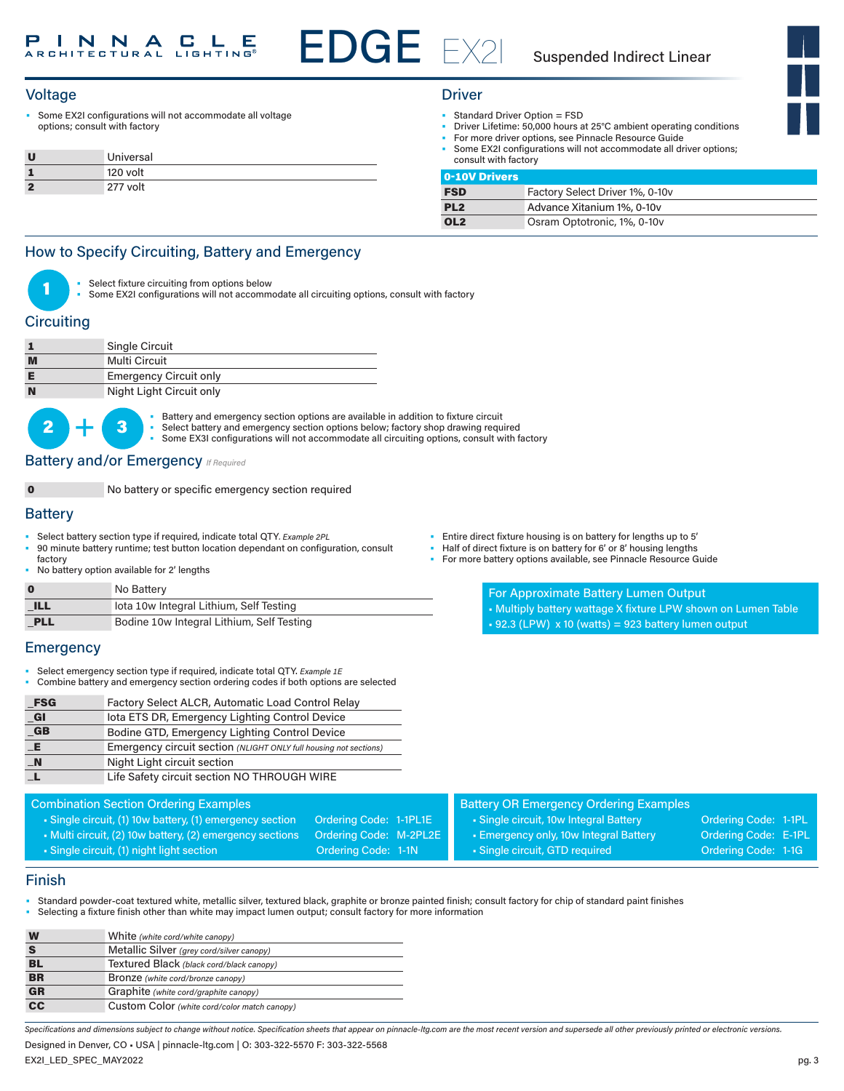# EDGE EX2I

#### Suspended Indirect Linear

#### Voltage Driver

Some EX2I configurations will not accommodate all voltage options; consult with factory

|    | Universal |
|----|-----------|
|    | 120 volt  |
| ×, | 277 volt  |

- Standard Driver Option = FSD
	- Driver Lifetime: 50,000 hours at 25°C ambient operating conditions
- For more driver options, see Pinnacle Resource Guide
- Some EX2I configurations will not accommodate all driver options; consult with factory

| <b>0-10V Drivers</b> |                                 |
|----------------------|---------------------------------|
| <b>FSD</b>           | Factory Select Driver 1%, 0-10v |
| PL <sub>2</sub>      | Advance Xitanium 1%, 0-10y      |
| OL <sub>2</sub>      | Osram Optotronic, 1%, 0-10y     |

#### How to Specify Circuiting, Battery and Emergency



Select fixture circuiting from options below

Some EX2I configurations will not accommodate all circuiting options, consult with factory

#### **Circuiting**

|   | Single Circuit                |
|---|-------------------------------|
| M | Multi Circuit                 |
|   | <b>Emergency Circuit only</b> |
| N | Night Light Circuit only      |



Battery and emergency section options are available in addition to fixture circuit Select battery and emergency section options below; factory shop drawing required Some EX3I configurations will not accommodate all circuiting options, consult with factory

#### **Battery and/or Emergency** *If Required*

0 No battery or specific emergency section required

#### **Battery**

- Select battery section type if required, indicate total QTY*. Example 2PL*
- 90 minute battery runtime; test button location dependant on configuration, consult factory
- No battery option available for 2' lengths

| $\mathbf 0$ | No Battery                                |
|-------------|-------------------------------------------|
| <b>ILL</b>  | lota 10w Integral Lithium, Self Testing   |
| PLL         | Bodine 10w Integral Lithium, Self Testing |

#### **Emergency**

- Select emergency section type if required, indicate total QTY. *Example 1E*
- Combine battery and emergency section ordering codes if both options are selected

| <b>FSG</b>       | Factory Select ALCR, Automatic Load Control Relay                 |
|------------------|-------------------------------------------------------------------|
| _GI              | lota ETS DR, Emergency Lighting Control Device                    |
| G                | Bodine GTD, Emergency Lighting Control Device                     |
| _E               | Emergency circuit section (NLIGHT ONLY full housing not sections) |
| $\blacksquare$ N | Night Light circuit section                                       |
|                  | Life Safety circuit section NO THROUGH WIRE                       |

#### Combination Section Ordering Examples

- Single circuit, (1) 10w battery, (1) emergency section Ordering Code: 1-1PL1E
- Multi circuit, (2) 10w battery, (2) emergency sections Ordering Code: M-2PL2E • Single circuit, (1) night light section Cordering Code: 1-1N
	-
- Battery OR Emergency Ordering Examples • Single circuit, 10w Integral Battery **Ordering Code: 1-1PL** • Emergency only, 10w Integral Battery **Call Condering Code: E-1PL** • Single circuit, GTD required Contact Condering Code: 1-1G
	-

#### Finish

- Standard powder-coat textured white, metallic silver, textured black, graphite or bronze painted finish; consult factory for chip of standard paint finishes
- Selecting a fixture finish other than white may impact lumen output; consult factory for more information

| W               | White (white cord/white canopy)              |  |  |
|-----------------|----------------------------------------------|--|--|
|                 | Metallic Silver (grey cord/silver canopy)    |  |  |
| BL              | Textured Black (black cord/black canopy)     |  |  |
| <b>BR</b>       | Bronze (white cord/bronze canopy)            |  |  |
| <b>GR</b>       | Graphite (white cord/graphite canopy)        |  |  |
| $\overline{cc}$ | Custom Color (white cord/color match canopy) |  |  |
|                 |                                              |  |  |

*Specifications and dimensions subject to change without notice. Specification sheets that appear on pinnacle-ltg.com are the most recent version and supersede all other previously printed or electronic versions.*

EX2I\_LED\_SPEC\_MAY2022 Designed in Denver, CO • USA | pinnacle-ltg.com | O: 303-322-5570 F: 303-322-5568

- Entire direct fixture housing is on battery for lengths up to 5'
- Half of direct fixture is on battery for 6' or 8' housing lengths<br>• For more battery options available, see Pinnacle Besource G
- For more battery options available, see Pinnacle Resource Guide
	- For Approximate Battery Lumen Output • Multiply battery wattage X fixture LPW shown on Lumen Table

|  |  | $\cdot$ 92.3 (LPW) x 10 (watts) = 923 battery lumen output |  |
|--|--|------------------------------------------------------------|--|
|--|--|------------------------------------------------------------|--|